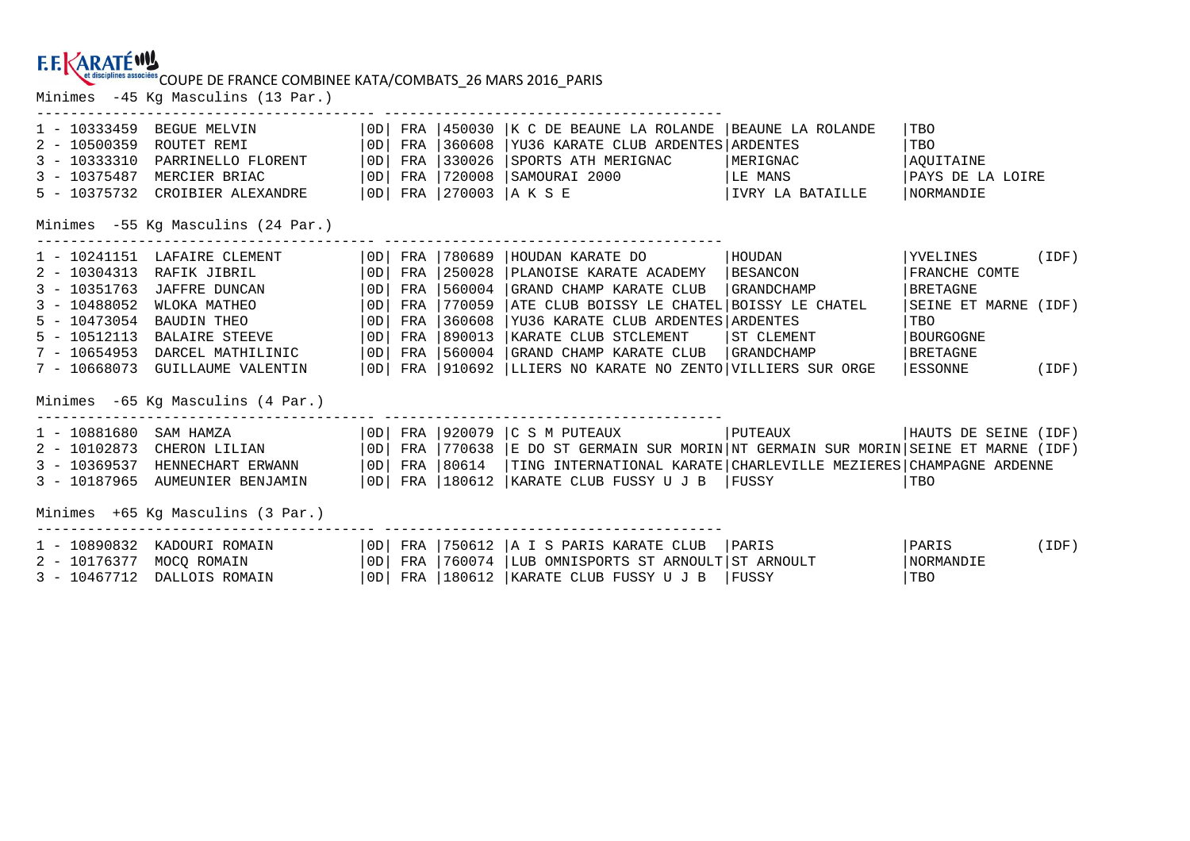### COUPE DE FRANCE COMBINEE KATA/COMBATS\_26 MARS 2016\_PARIS

Minimes -45 Kg Masculins (13 Par.)

| $1 - 10333459$<br>$2 - 10500359$<br>$3 - 10333310$<br>$3 - 10375487$<br>5 - 10375732                                                         | BEGUE MELVIN<br>ROUTET REMI<br>PARRINELLO FLORENT<br>MERCIER BRIAC<br>CROIBIER ALEXANDRE                                                                                                        | OD <br> OD <br>  OD  <br>  OD  <br>  OD                                              | FRA<br>FRA<br>FRA<br>FRA                             | 450030<br>360608<br>330026<br>720008                                         | K C DE BEAUNE LA ROLANDE<br>YU36 KARATE CLUB ARDENTES ARDENTES<br>SPORTS ATH MERIGNAC<br>SAMOURAI 2000<br>FRA   270003   A K S E                                                                                                             | BEAUNE LA ROLANDE<br>MERIGNAC<br>LE MANS<br>IVRY LA BATAILLE                            | TBO<br>TBO<br>AOUITAINE<br>PAYS DE LA LOIRE<br><b>NORMANDIE</b>                                                                |       |
|----------------------------------------------------------------------------------------------------------------------------------------------|-------------------------------------------------------------------------------------------------------------------------------------------------------------------------------------------------|--------------------------------------------------------------------------------------|------------------------------------------------------|------------------------------------------------------------------------------|----------------------------------------------------------------------------------------------------------------------------------------------------------------------------------------------------------------------------------------------|-----------------------------------------------------------------------------------------|--------------------------------------------------------------------------------------------------------------------------------|-------|
|                                                                                                                                              | Minimes -55 Kq Masculins (24 Par.)                                                                                                                                                              |                                                                                      |                                                      |                                                                              |                                                                                                                                                                                                                                              |                                                                                         |                                                                                                                                |       |
| $1 - 10241151$<br>$2 - 10304313$<br>$3 - 10351763$<br>$3 - 10488052$<br>$5 - 10473054$<br>$5 - 10512113$<br>$7 - 10654953$<br>$7 - 10668073$ | LAFAIRE CLEMENT<br>RAFIK JIBRIL<br>JAFFRE DUNCAN<br>WLOKA MATHEO<br>BAUDIN THEO<br><b>BALAIRE STEEVE</b><br>DARCEL MATHILINIC<br><b>GUILLAUME VALENTIN</b><br>Minimes -65 Kq Masculins (4 Par.) | OD  <br>  OD  <br>  0D<br>$\overline{0}$<br>$\overline{0}$<br> OD <br>  OD  <br>  OD | FRA<br>FRA<br>FRA<br>FRA<br>FRA<br>FRA<br>FRA<br>FRA | 780689<br>250028<br>560004<br>770059<br>360608<br>890013<br>560004<br>910692 | HOUDAN KARATE DO<br>PLANOISE KARATE ACADEMY<br>GRAND CHAMP KARATE CLUB<br>ATE CLUB BOISSY LE CHATEL<br>YU36 KARATE CLUB ARDENTES ARDENTES<br>KARATE CLUB STCLEMENT<br>GRAND CHAMP KARATE CLUB<br>LLIERS NO KARATE NO ZENTO VILLIERS SUR ORGE | HOUDAN<br><b>BESANCON</b><br>GRANDCHAMP<br>BOISSY LE CHATEL<br>ST CLEMENT<br>GRANDCHAMP | YVELINES (IDF)<br>FRANCHE COMTE<br>  BRETAGNE<br>SEINE ET MARNE (IDF)<br>TBO<br><b>BOURGOGNE</b><br><b>BRETAGNE</b><br>ESSONNE | (IDF) |
| $1 - 10881680$<br>$2 - 10102873$<br>$3 - 10369537$<br>$3 - 10187965$                                                                         | SAM HAMZA<br>CHERON LILIAN<br>HENNECHART ERWANN<br>AUMEUNIER BENJAMIN                                                                                                                           | OD  <br>  OD  <br> OD <br>  OD                                                       | FRA<br>FRA<br>FRA                                    | 920079<br>FRA 1770638<br>80614<br>180612                                     | C S M PUTEAUX<br>E DO ST GERMAIN SUR MORIN NT GERMAIN SUR MORIN SEINE ET MARNE (IDF)<br>TING INTERNATIONAL KARATE CHARLEVILLE MEZIERES CHAMPAGNE ARDENNE<br> KARATE CLUB FUSSY U J B    FUSSY                                                | PUTEAUX                                                                                 | HAUTS DE SEINE (IDF)<br>  TBO                                                                                                  |       |
| Minimes +65 Kg Masculins (3 Par.)                                                                                                            |                                                                                                                                                                                                 |                                                                                      |                                                      |                                                                              |                                                                                                                                                                                                                                              |                                                                                         |                                                                                                                                |       |
| $1 - 10890832$<br>$2 - 10176377$<br>$3 - 10467712$                                                                                           | KADOURI ROMAIN<br>MOCQ ROMAIN<br>DALLOIS ROMAIN                                                                                                                                                 | OD <br> OD <br>  OD                                                                  | FRA<br>FRA<br>FRA                                    | 750612<br>760074                                                             | A I S PARIS KARATE CLUB<br>LUB OMNISPORTS ST ARNOULT<br> 180612   KARATE CLUB FUSSY U J B                                                                                                                                                    | PARIS<br>ST ARNOULT<br>  FUSSY                                                          | PARIS<br>NORMANDIE<br>  TBO                                                                                                    | (IDF) |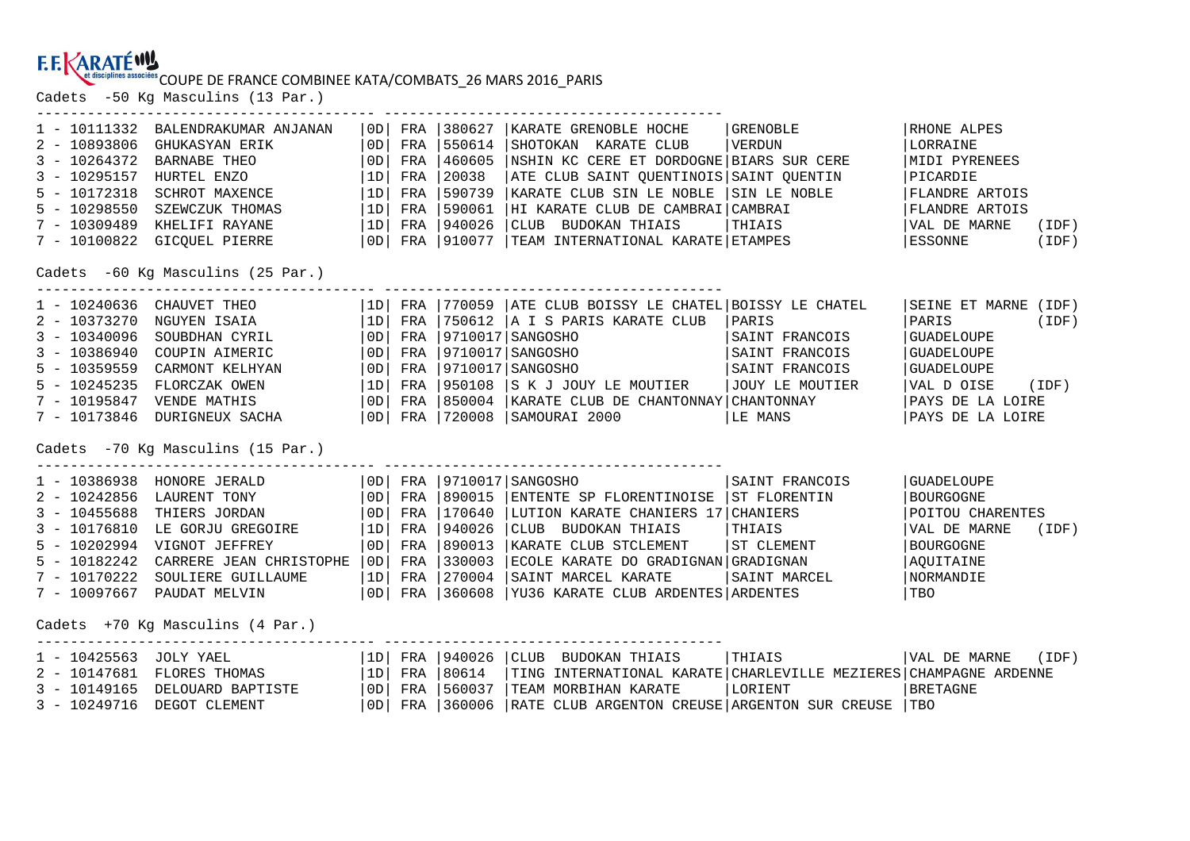# **COUPE DE FRANCE COMBINEE KATA/COMBATS\_26 MARS 2016\_PARIS**<br>Cadets -50 Kg Masculins (13 Par.)

| 1 - 10111332<br>$2 - 10893806$<br>$3 - 10264372$<br>$3 - 10295157$<br>$5 - 10172318$<br>$5 - 10298550$<br>$7 - 10309489$<br>$7 - 10100822$ | BALENDRAKUMAR ANJANAN<br>GHUKASYAN ERIK<br>BARNABE THEO<br>HURTEL ENZO<br>SCHROT MAXENCE<br>SZEWCZUK THOMAS<br>KHELIFI RAYANE<br>GICQUEL PIERRE<br>Cadets -60 Kg Masculins (25 Par.)                         | OD <br>  OD  <br> 1D <br> 1D <br> 1D <br> 1D | OD  FRA<br>FRA<br>FRA<br>FRA<br>FRA<br>FRA<br>FRA    | 380627<br>550614<br>460605<br>20038<br>590739<br>590061<br>940026 | KARATE GRENOBLE HOCHE<br>SHOTOKAN KARATE CLUB<br>NSHIN KC CERE ET DORDOGNE BIARS SUR CERE<br>ATE CLUB SAINT QUENTINOIS SAINT QUENTIN<br>KARATE CLUB SIN LE NOBLE<br> HI KARATE CLUB DE CAMBRAI CAMBRAI<br>CLUB BUDOKAN THIAIS<br>$ 0D $ FRA $ 910077$ TEAM INTERNATIONAL KARATE ETAMPES  | GRENOBLE<br>  VERDUN<br>SIIN LE NOBLE<br>THIAIS                                           | RHONE ALPES<br>LORRAINE<br>MIDI PYRENEES<br>PICARDIE<br><b>FLANDRE ARTOIS</b><br><b>FLANDRE ARTOIS</b><br>VAL DE MARNE<br>(IDF)<br>ESSONNE<br>(IDF)    |
|--------------------------------------------------------------------------------------------------------------------------------------------|--------------------------------------------------------------------------------------------------------------------------------------------------------------------------------------------------------------|----------------------------------------------|------------------------------------------------------|-------------------------------------------------------------------|------------------------------------------------------------------------------------------------------------------------------------------------------------------------------------------------------------------------------------------------------------------------------------------|-------------------------------------------------------------------------------------------|--------------------------------------------------------------------------------------------------------------------------------------------------------|
| $2 - 10373270$<br>$3 - 10340096$<br>$3 - 10386940$<br>$5 - 10359559$<br>$5 - 10245235$<br>$7 - 10195847$<br>$7 - 10173846$                 | 1 - 10240636 CHAUVET THEO<br>NGUYEN ISAIA<br>SOUBDHAN CYRIL<br>COUPIN AIMERIC<br>CARMONT KELHYAN<br>FLORCZAK OWEN<br>VENDE MATHIS<br>DURIGNEUX SACHA                                                         | 1D <br>  OD  <br> OD <br> OD <br> 1D <br> OD | $ 1D $ FRA<br>FRA<br>FRA<br>FRA<br>FRA<br>FRA<br>FRA |                                                                   | 770059   ATE CLUB BOISSY LE CHATEL   BOISSY LE CHATEL<br>750612   A I S PARIS KARATE CLUB<br> 9710017 SANGOSHO<br>$9710017$ SANGOSHO<br>9710017   SANGOSHO<br>950108 S K J JOUY LE MOUTIER<br> 850004   KARATE CLUB DE CHANTONNAY   CHANTONNAY<br>  OD   FRA   720008   SAMOURAI 2000    | PARIS<br>SAINT FRANCOIS<br>SAINT FRANCOIS<br>SAINT FRANCOIS<br>JOUY LE MOUTIER<br>LE MANS | SEINE ET MARNE (IDF)<br>PARIS<br>(IDF)<br><b>GUADELOUPE</b><br>GUADELOUPE<br>GUADELOUPE<br>VAL D OISE<br>(IDF)<br>PAYS DE LA LOIRE<br>PAYS DE LA LOIRE |
| $2 - 10242856$<br>$3 - 10455688$<br>$3 - 10176810$<br>$5 - 10202994$<br>$5 - 10182242$<br>$7 - 10170222$<br>7 - 10097667                   | Cadets -70 Kq Masculins (15 Par.)<br>1 - 10386938 HONORE JERALD<br>LAURENT TONY<br>THIERS JORDAN<br>LE GORJU GREGOIRE<br>VIGNOT JEFFREY<br>CARRERE JEAN CHRISTOPHE 0D<br>SOULIERE GUILLAUME<br>PAUDAT MELVIN | OD <br> OD <br> 1D <br>  OD  <br> 1D         | FRA<br>FRA<br>FRA<br>FRA<br>FRA                      | 890015<br>1170640<br>940026<br> 890013<br>330003<br>FRA 1270004   | 0D   FRA   9710017   SANGOSHO<br>ENTENTE SP FLORENTINOISE ST FLORENTIN<br>LUTION KARATE CHANIERS 17 CHANIERS<br>CLUB BUDOKAN THIAIS<br>KARATE CLUB STCLEMENT<br>ECOLE KARATE DO GRADIGNAN GRADIGNAN<br>SAINT MARCEL KARATE<br>  OD   FRA   360608   YU36 KARATE CLUB ARDENTES   ARDENTES | SAINT FRANCOIS<br>THIAIS<br>ST CLEMENT<br>SAINT MARCEL                                    | <b>GUADELOUPE</b><br><b>BOURGOGNE</b><br>POITOU CHARENTES<br>VAL DE MARNE<br>(IDF)<br><b>BOURGOGNE</b><br>AQUITAINE<br>NORMANDIE<br>TBO                |
| 1 - 10425563 JOLY YAEL<br>$2 - 10147681$<br>$3 - 10149165$<br>$3 - 10249716$                                                               | Cadets +70 Kg Masculins (4 Par.)<br>FLORES THOMAS<br>DELOUARD BAPTISTE<br>DEGOT CLEMENT                                                                                                                      | 1D <br> OD <br> OD                           | $ 1D $ FRA<br>FRA                                    | 940026<br>80614<br>FRA 1560037                                    | CLUB<br>BUDOKAN THIAIS<br>TING INTERNATIONAL KARATE CHARLEVILLE MEZIERES CHAMPAGNE ARDENNE<br>TEAM MORBIHAN KARATE<br>FRA   360006   RATE CLUB ARGENTON CREUSE   ARGENTON SUR CREUSE   TBO                                                                                               | THIAIS<br>LORIENT                                                                         | VAL DE MARNE<br>(IDF)<br><b>BRETAGNE</b>                                                                                                               |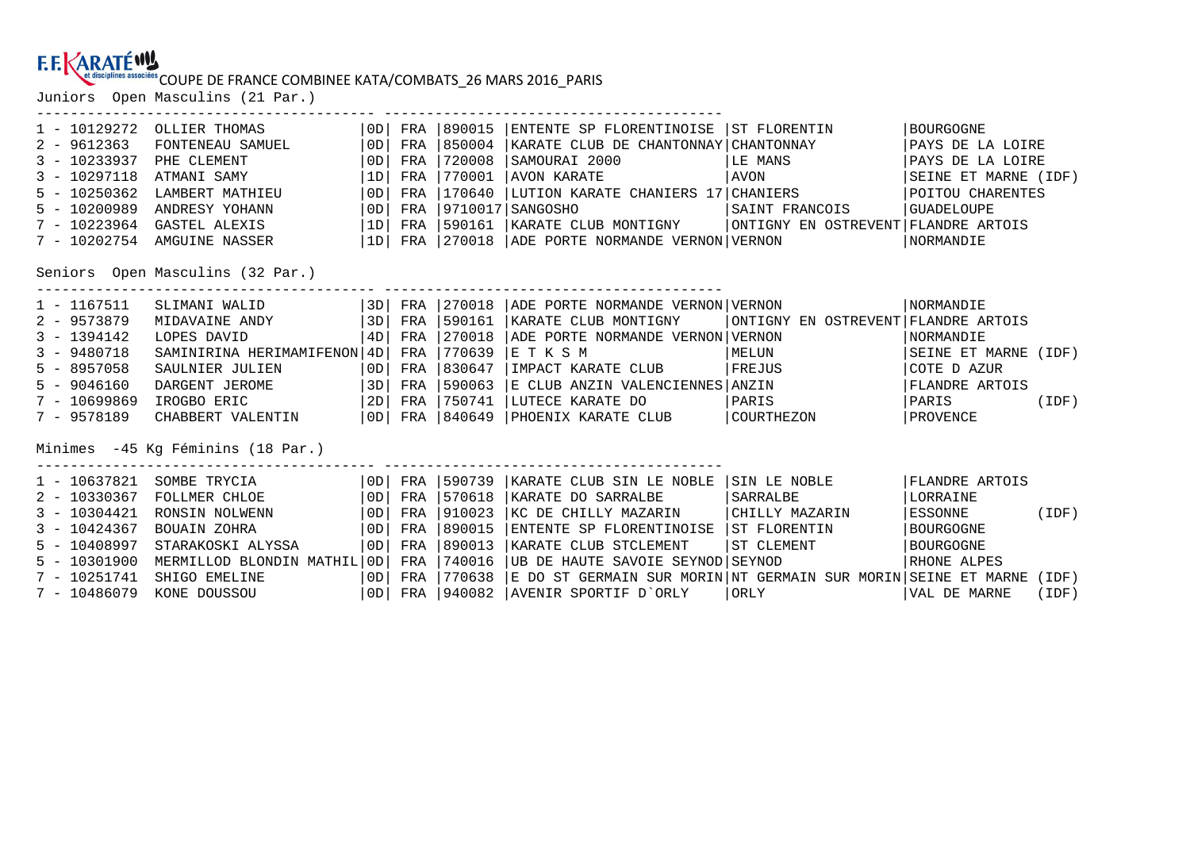## COUPE DE FRANCE COMBINEE KATA/COMBATS\_26 MARS 2016\_PARIS

Juniors Open Masculins (21 Par.)

---------------------------------------- ----------------------------------------

| $1 - 10129272$                                                                 | OLLIER THOMAS                 | OD | FRA            | 890015          | ENTENTE SP FLORENTINOISE ST FLORENTIN                               |                                                                                                     | BOURGOGNE            |       |  |
|--------------------------------------------------------------------------------|-------------------------------|----|----------------|-----------------|---------------------------------------------------------------------|-----------------------------------------------------------------------------------------------------|----------------------|-------|--|
| $2 - 9612363$                                                                  | FONTENEAU SAMUEL              | OD | FRA            | 850004          | KARATE CLUB DE CHANTONNAY   CHANTONNAY                              |                                                                                                     | PAYS DE LA LOIRE     |       |  |
| $3 - 10233937$                                                                 | PHE CLEMENT                   | OD | FRA            | 720008          | SAMOURAI 2000                                                       | LE MANS                                                                                             | PAYS DE LA LOIRE     |       |  |
| $3 - 10297118$                                                                 | ATMANI SAMY                   | 1D | FRA            | 770001          | AVON KARATE                                                         | AVON                                                                                                | SEINE ET MARNE (IDF) |       |  |
| $5 - 10250362$                                                                 | LAMBERT MATHIEU               | OD | FRA            | 170640          | LUTION KARATE CHANIERS 17 CHANIERS                                  |                                                                                                     | POITOU CHARENTES     |       |  |
| $5 - 10200989$                                                                 | ANDRESY YOHANN                |    | $ 0D $ FRA     |                 | 9710017 SANGOSHO                                                    | SAINT FRANCOIS                                                                                      | GUADELOUPE           |       |  |
| $7 - 10223964$                                                                 | GASTEL ALEXIS                 |    | $ 1D $ FRA $ $ | 590161          | KARATE CLUB MONTIGNY                                                | ONTIGNY EN OSTREVENT FLANDRE ARTOIS                                                                 |                      |       |  |
|                                                                                | 7 - 10202754 AMGUINE NASSER   |    |                |                 | 1D  FRA  270018  ADE PORTE NORMANDE VERNON VERNON                   |                                                                                                     | NORMANDIE            |       |  |
| Seniors Open Masculins (32 Par.)<br>-------------------<br>___________________ |                               |    |                |                 |                                                                     |                                                                                                     |                      |       |  |
| $1 - 1167511$                                                                  | SLIMANI WALID                 |    |                |                 | 3D  FRA  270018  ADE PORTE NORMANDE VERNON VERNON                   |                                                                                                     | <b>NORMANDIE</b>     |       |  |
| $2 - 9573879$                                                                  | MIDAVAINE ANDY                |    |                | 3D  FRA  590161 | KARATE CLUB MONTIGNY                                                | ONTIGNY EN OSTREVENT FLANDRE ARTOIS                                                                 |                      |       |  |
| $3 - 1394142$                                                                  | LOPES DAVID                   |    | 4D  FRA        | 270018          | ADE PORTE NORMANDE VERNON VERNON                                    |                                                                                                     | NORMANDIE            |       |  |
| $3 - 9480718$                                                                  | SAMINIRINA HERIMAMIFENON   4D |    | FRA            | 770639          | IE T K S M                                                          | MELUN NEWS                                                                                          | SEINE ET MARNE (IDF) |       |  |
| $5 - 8957058$                                                                  | SAULNIER JULIEN               |    |                | OD  FRA  830647 | IMPACT KARATE CLUB                                                  | FREJUS                                                                                              | COTE D AZUR          |       |  |
| $5 - 9046160$                                                                  | DARGENT JEROME                |    | $ 3D $ FRA     | 590063          | E CLUB ANZIN VALENCIENNES   ANZIN                                   |                                                                                                     | FLANDRE ARTOIS       |       |  |
| $7 - 10699869$                                                                 | IROGBO ERIC $ 2D $ FRA $ $    |    |                | 750741          | LUTECE KARATE DO                                                    | PARIS                                                                                               | PARIS (IDF)          |       |  |
| $7 - 9578189$                                                                  | CHABBERT VALENTIN             |    |                |                 | OD   FRA   840649   PHOENIX KARATE CLUB   COURTHEZON                |                                                                                                     | PROVENCE             |       |  |
| Minimes -45 Kg Féminins (18 Par.)                                              |                               |    |                |                 |                                                                     |                                                                                                     |                      |       |  |
| $1 - 10637821$                                                                 | SOMBE TRYCIA                  |    |                | OD FRA 590739   | KARATE CLUB SIN LE NOBLE                                            | SIN LE NOBLE                                                                                        | FLANDRE ARTOIS       |       |  |
| $2 - 10330367$                                                                 | FOLLMER CHLOE                 |    |                | OD  FRA  570618 | KARATE DO SARRALBE                                                  | SARRALBE                                                                                            | LORRAINE             |       |  |
| $3 - 10304421$                                                                 | RONSIN NOLWENN                |    | OD  FRA        | 910023          | KC DE CHILLY MAZARIN                                                | CHILLY MAZARIN                                                                                      | ESSONNE (IDF)        |       |  |
| $3 - 10424367$                                                                 | BOUAIN ZOHRA                  |    | $ 0D $ FRA     | 890015          | ENTENTE SP FLORENTINOISE                                            | ST FLORENTIN                                                                                        | BOURGOGNE            |       |  |
| $5 - 10408997$                                                                 | STARAKOSKI ALYSSA             | OD | FRA            | 890013          | KARATE CLUB STCLEMENT                                               | ST CLEMENT                                                                                          | BOURGOGNE            |       |  |
| $5 - 10301900$                                                                 | MERMILLOD BLONDIN MATHIL 0D   |    | FRA            | 740016          | UB DE HAUTE SAVOIE SEYNOD SEYNOD                                    |                                                                                                     | RHONE ALPES          |       |  |
| $7 - 10251741$                                                                 | SHIGO EMELINE                 | OD | FRA            | 770638          | E DO ST GERMAIN SUR MORIN NT GERMAIN SUR MORIN SEINE ET MARNE (IDF) |                                                                                                     |                      |       |  |
| $7 - 10486079$                                                                 | KONE DOUSSOU                  |    |                |                 | OD  FRA  940082  AVENIR SPORTIF D`ORLY                              | ORLY AREA AND THE STATE OF THE STATE OF THE STATE OF THE STATE OF THE STATE OF THE STATE OF THE STA | VAL DE MARNE         | (IDF) |  |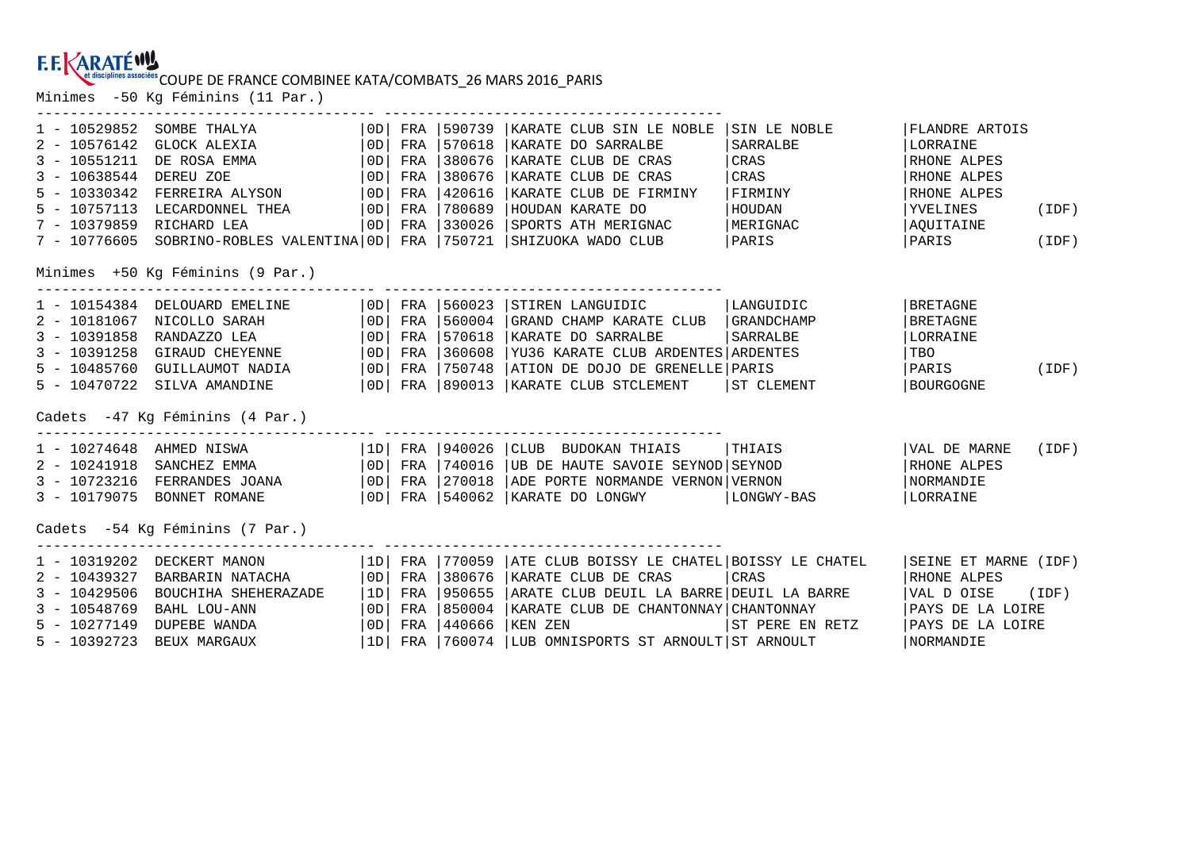## COUPE DE FRANCE COMBINEE KATA/COMBATS\_26 MARS 2016\_PARIS

Minimes -50 Kg Féminins (11 Par.)

| $1 - 10529852$           | SOMBE THALYA                                      |    | $ 0D $ FRA | 590739               | KARATE CLUB SIN LE NOBLE                                                              | SIN LE NOBLE    | FLANDRE ARTOIS         |       |
|--------------------------|---------------------------------------------------|----|------------|----------------------|---------------------------------------------------------------------------------------|-----------------|------------------------|-------|
| $2 - 10576142$           | GLOCK ALEXIA                                      | OD | FRA        | 570618               | KARATE DO SARRALBE                                                                    | SARRALBE        | LORRAINE               |       |
| $3 - 10551211$           | DE ROSA EMMA                                      | OD | FRA        | 380676               | KARATE CLUB DE CRAS                                                                   | CRAS            | RHONE ALPES            |       |
| $3 - 10638544$           | DEREU ZOE                                         | OD | FRA        | 380676               | KARATE CLUB DE CRAS                                                                   | CRAS            | RHONE ALPES            |       |
| $5 - 10330342$           | FERREIRA ALYSON                                   |    | $ 0D $ FRA | 420616               | KARATE CLUB DE FIRMINY                                                                | FIRMINY         | RHONE ALPES            |       |
| $5 - 10757113$           | LECARDONNEL THEA   OD   FRA                       |    |            | 780689               | HOUDAN KARATE DO                                                                      | HOUDAN          | YVELINES               | (IDF) |
| 7 - 10379859 RICHARD LEA |                                                   |    |            | $ 0D $ FRA $ 330026$ | SPORTS ATH MERIGNAC   MERIGNAC                                                        |                 | AQUITAINE              |       |
|                          |                                                   |    |            |                      | 7 - 10776605 SOBRINO-ROBLES VALENTINA OD FRA 750721 SHIZUOKA WADO CLUB   PARIS        |                 | PARIS (IDF)            |       |
|                          | Minimes +50 Kg Féminins (9 Par.)                  |    |            |                      |                                                                                       |                 |                        |       |
|                          | 1 - 10154384 DELOUARD EMELINE   OD   FRA   560023 |    |            |                      | STIREN LANGUIDIC   LANGUIDIC                                                          |                 | BRETAGNE               |       |
| $2 - 10181067$           | NICOLLO SARAH                                     |    | $ OD $ FRA | 560004               | GRAND CHAMP KARATE CLUB   GRANDCHAMP                                                  |                 | <b>BRETAGNE</b>        |       |
| $3 - 10391858$           | RANDAZZO LEA                                      |    | $ 0D $ FRA | 570618               | KARATE DO SARRALBE                                                                    | <i>SARRALBE</i> | LORRAINE               |       |
| $3 - 10391258$           | GIRAUD CHEYENNE   OD  FRA   360608                |    |            |                      | YU36 KARATE CLUB ARDENTES ARDENTES                                                    |                 | TBO                    |       |
|                          |                                                   |    |            |                      |                                                                                       |                 | PARIS                  | (IDF) |
|                          | 5 - 10470722 SILVA AMANDINE                       |    |            |                      | OD FRA 890013 KARATE CLUB STCLEMENT                                                   | ST CLEMENT      | BOURGOGNE              |       |
|                          | Cadets -47 Kg Féminins (4 Par.)                   |    |            |                      |                                                                                       |                 |                        |       |
|                          | 1 - 10274648 AHMED NISWA   1D   FRA   940026      |    |            |                      | CLUB BUDOKAN THIAIS   THIAIS                                                          |                 | VAL DE MARNE           | (IDF) |
|                          | 2 - 10241918 SANCHEZ EMMA   0D   FRA   740016     |    |            |                      | UB DE HAUTE SAVOIE SEYNOD SEYNOD                                                      |                 | RHONE ALPES            |       |
|                          |                                                   |    |            |                      | 3 - 10723216 FERRANDES JOANA   OD   FRA   270018   ADE PORTE NORMANDE VERNON   VERNON |                 | NORMANDIE              |       |
|                          |                                                   |    |            |                      | 3 - 10179075 BONNET ROMANE $ 0D $ FRA 540062 KARATE DO LONGWY $ LONGWY - BAS $        |                 | LORRAINE               |       |
| ---------------          | Cadets -54 Kg Féminins (7 Par.)                   |    |            |                      |                                                                                       |                 |                        |       |
| 1 - 10319202             | 1D  FRA  770059<br>DECKERT MANON                  |    |            |                      | ATE CLUB BOISSY LE CHATEL BOISSY LE CHATEL                                            |                 | SEINE ET MARNE (IDF)   |       |
| $2 - 10439327$           | BARBARIN NATACHA                                  | OD |            | FRA 1380676          | KARATE CLUB DE CRAS                                                                   | CRAS            | RHONE ALPES            |       |
| $3 - 10429506$           | BOUCHIHA SHEHERAZADE                              | 1D | FRA        | 950655               | ARATE CLUB DEUIL LA BARRE DEUIL LA BARRE                                              |                 | $ VAL\ D$ OISE $(IDF)$ |       |
| $3 - 10548769$           | BAHL LOU-ANN                                      | OD | FRA        | 850004               | KARATE CLUB DE CHANTONNAY CHANTONNAY                                                  |                 | PAYS DE LA LOIRE       |       |
| $5 - 10277149$           | DUPEBE WANDA                                      | OD | FRA        | 440666               | KEN ZEN                                                                               | ST PERE EN RETZ | PAYS DE LA LOIRE       |       |
| $5 - 10392723$           | BEUX MARGAUX                                      |    |            | 1D  FRA  760074      | LUB OMNISPORTS ST ARNOULT ST ARNOULT                                                  |                 | <b>NORMANDIE</b>       |       |